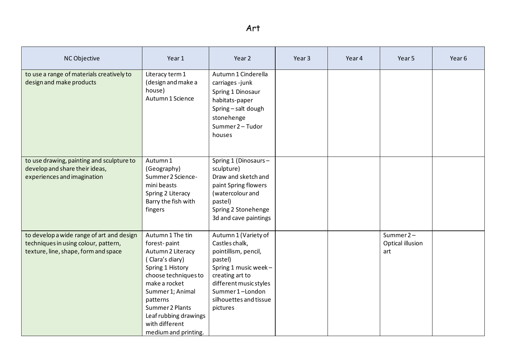| NC Objective                                                                                                              | Year 1                                                                                                                                                                                                                                                      | Year 2                                                                                                                                                                                                  | Year <sub>3</sub> | Year 4 | Year 5                                  | Year 6 |
|---------------------------------------------------------------------------------------------------------------------------|-------------------------------------------------------------------------------------------------------------------------------------------------------------------------------------------------------------------------------------------------------------|---------------------------------------------------------------------------------------------------------------------------------------------------------------------------------------------------------|-------------------|--------|-----------------------------------------|--------|
| to use a range of materials creatively to<br>design and make products                                                     | Literacy term 1<br>(design and make a<br>house)<br>Autumn 1 Science                                                                                                                                                                                         | Autumn 1 Cinderella<br>carriages-junk<br>Spring 1 Dinosaur<br>habitats-paper<br>Spring - salt dough<br>stonehenge<br>Summer 2 - Tudor<br>houses                                                         |                   |        |                                         |        |
| to use drawing, painting and sculpture to<br>develop and share their ideas,<br>experiences and imagination                | Autumn 1<br>(Geography)<br>Summer 2 Science-<br>mini beasts<br>Spring 2 Literacy<br>Barry the fish with<br>fingers                                                                                                                                          | Spring 1 (Dinosaurs-<br>sculpture)<br>Draw and sketch and<br>paint Spring flowers<br>(watercolour and<br>pastel)<br>Spring 2 Stonehenge<br>3d and cave paintings                                        |                   |        |                                         |        |
| to develop a wide range of art and design<br>techniques in using colour, pattern,<br>texture, line, shape, form and space | Autumn 1 The tin<br>forest-paint<br>Autumn 2 Literacy<br>(Clara's diary)<br>Spring 1 History<br>choose techniques to<br>make a rocket<br>Summer 1; Animal<br>patterns<br>Summer 2 Plants<br>Leaf rubbing drawings<br>with different<br>medium and printing. | Autumn 1 (Variety of<br>Castles chalk,<br>pointillism, pencil,<br>pastel)<br>Spring 1 music week-<br>creating art to<br>different music styles<br>Summer 1-London<br>silhouettes and tissue<br>pictures |                   |        | Summer $2 -$<br>Optical illusion<br>art |        |